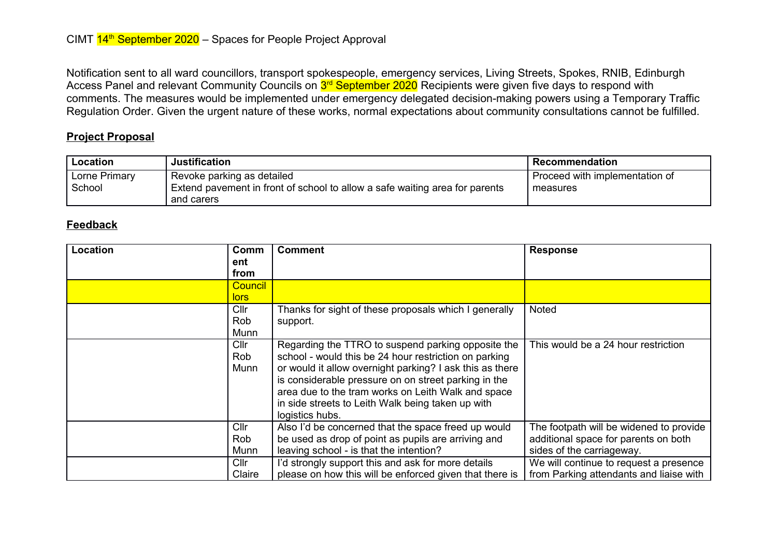Notification sent to all ward councillors, transport spokespeople, emergency services, Living Streets, Spokes, RNIB, Edinburgh Access Panel and relevant Community Councils on <mark>3<sup>rd</sup> September 2020</mark> Recipients were given five days to respond with comments. The measures would be implemented under emergency delegated decision-making powers using a Temporary Traffic Regulation Order. Given the urgent nature of these works, normal expectations about community consultations cannot be fulfilled.

## **Project Proposal**

| Location      | <b>Justification</b>                                                                      | Recommendation                 |
|---------------|-------------------------------------------------------------------------------------------|--------------------------------|
| Lorne Primary | Revoke parking as detailed                                                                | Proceed with implementation of |
| School        | Extend pavement in front of school to allow a safe waiting area for parents<br>and carers | measures                       |

## **Feedback**

| Location | Comm           | <b>Comment</b>                                           | <b>Response</b>                         |
|----------|----------------|----------------------------------------------------------|-----------------------------------------|
|          | ent            |                                                          |                                         |
|          | from           |                                                          |                                         |
|          | <b>Council</b> |                                                          |                                         |
|          | <u>lors</u>    |                                                          |                                         |
|          | Cllr           | Thanks for sight of these proposals which I generally    | <b>Noted</b>                            |
|          | Rob            | support.                                                 |                                         |
|          | Munn           |                                                          |                                         |
|          | Cllr           | Regarding the TTRO to suspend parking opposite the       | This would be a 24 hour restriction     |
|          | Rob            | school - would this be 24 hour restriction on parking    |                                         |
|          | Munn           | or would it allow overnight parking? I ask this as there |                                         |
|          |                | is considerable pressure on on street parking in the     |                                         |
|          |                | area due to the tram works on Leith Walk and space       |                                         |
|          |                | in side streets to Leith Walk being taken up with        |                                         |
|          |                | logistics hubs.                                          |                                         |
|          | Cllr           | Also I'd be concerned that the space freed up would      | The footpath will be widened to provide |
|          | Rob            | be used as drop of point as pupils are arriving and      | additional space for parents on both    |
|          | Munn           | leaving school - is that the intention?                  | sides of the carriageway.               |
|          | ClIr           | I'd strongly support this and ask for more details       | We will continue to request a presence  |
|          | Claire         | please on how this will be enforced given that there is  | from Parking attendants and liaise with |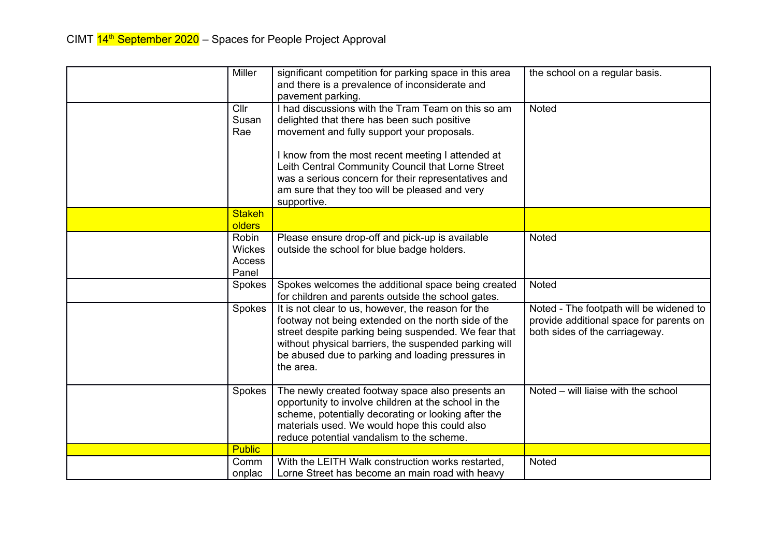| <b>Miller</b>                             | significant competition for parking space in this area<br>and there is a prevalence of inconsiderate and<br>pavement parking.                                                                                                                                                                                                                                                     | the school on a regular basis.                                                                                       |
|-------------------------------------------|-----------------------------------------------------------------------------------------------------------------------------------------------------------------------------------------------------------------------------------------------------------------------------------------------------------------------------------------------------------------------------------|----------------------------------------------------------------------------------------------------------------------|
| Cllr<br>Susan<br>Rae                      | I had discussions with the Tram Team on this so am<br>delighted that there has been such positive<br>movement and fully support your proposals.<br>I know from the most recent meeting I attended at<br>Leith Central Community Council that Lorne Street<br>was a serious concern for their representatives and<br>am sure that they too will be pleased and very<br>supportive. | <b>Noted</b>                                                                                                         |
| <b>Stakeh</b><br><b>olders</b>            |                                                                                                                                                                                                                                                                                                                                                                                   |                                                                                                                      |
| Robin<br><b>Wickes</b><br>Access<br>Panel | Please ensure drop-off and pick-up is available<br>outside the school for blue badge holders.                                                                                                                                                                                                                                                                                     | Noted                                                                                                                |
| Spokes                                    | Spokes welcomes the additional space being created<br>for children and parents outside the school gates.                                                                                                                                                                                                                                                                          | <b>Noted</b>                                                                                                         |
| Spokes                                    | It is not clear to us, however, the reason for the<br>footway not being extended on the north side of the<br>street despite parking being suspended. We fear that<br>without physical barriers, the suspended parking will<br>be abused due to parking and loading pressures in<br>the area.                                                                                      | Noted - The footpath will be widened to<br>provide additional space for parents on<br>both sides of the carriageway. |
| Spokes                                    | The newly created footway space also presents an<br>opportunity to involve children at the school in the<br>scheme, potentially decorating or looking after the<br>materials used. We would hope this could also<br>reduce potential vandalism to the scheme.                                                                                                                     | Noted - will liaise with the school                                                                                  |
| <b>Public</b>                             |                                                                                                                                                                                                                                                                                                                                                                                   |                                                                                                                      |
| Comm<br>onplac                            | With the LEITH Walk construction works restarted,<br>Lorne Street has become an main road with heavy                                                                                                                                                                                                                                                                              | Noted                                                                                                                |